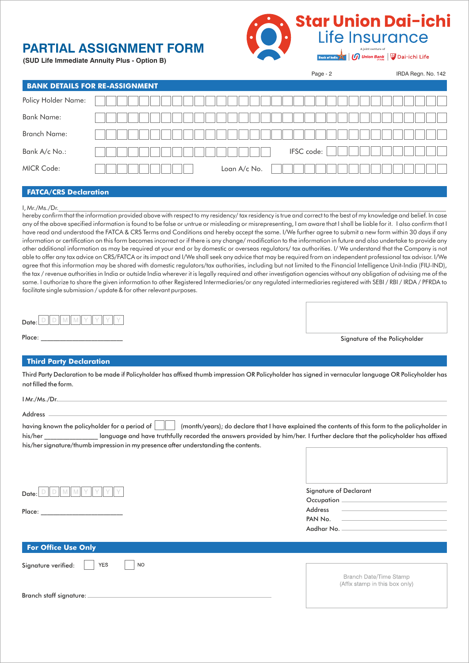## **PARTIAL ASSIGNMENT FORM**

**(SUD Life Immediate Annuity Plus - Option B)**



Page - 2

IRDA Regn. No. 142

**Dai-ichi Life** 

| <b>BANK DETAILS FOR RE-ASSIGNMENT</b> |              |
|---------------------------------------|--------------|
| Policy Holder Name:                   |              |
| <b>Bank Name:</b>                     |              |
| <b>Branch Name:</b>                   |              |
| Bank A/c No.:                         | IFSC code:   |
| <b>MICR Code:</b>                     | Loan A/c No. |
|                                       |              |

## **FATCA/CRS Declaration**

#### I, Mr./Ms./Dr.\_\_\_\_\_\_\_\_\_\_\_\_\_\_\_\_\_\_\_\_\_\_\_\_\_\_\_\_\_\_\_\_\_\_\_\_\_\_\_\_\_\_\_\_\_\_\_\_\_\_\_\_\_\_\_\_\_\_\_\_\_\_\_\_\_\_\_\_\_\_\_\_\_\_\_\_\_\_\_\_\_\_\_\_\_\_\_\_\_\_\_\_\_\_\_\_\_\_\_\_\_\_\_\_\_\_\_\_\_\_\_\_\_\_\_\_\_\_\_\_\_\_\_

Place:

hereby confirm that the information provided above with respect to my residency/ tax residency is true and correct to the best of my knowledge and belief. In case any of the above specified information is found to be false or untrue or misleading or misrepresenting, I am aware that I shall be liable for it. I also confirm that I have read and understood the FATCA & CRS Terms and Conditions and hereby accept the same. I/We further agree to submit a new form within 30 days if any information or certification on this form becomes incorrect or if there is any change/ modification to the information in future and also undertake to provide any other additional information as may be required at your end or by domestic or overseas regulators/ tax authorities. I/ We understand that the Company is not able to offer any tax advice on CRS/FATCA or its impact and I/We shall seek any advice that may be required from an independent professional tax advisor. I/We agree that this information may be shared with domestic regulators/tax authorities, including but not limited to the Financial Intelligence Unit-India (FIU-IND), the tax / revenue authorities in India or outside India wherever it is legally required and other investigation agencies without any obligation of advising me of the same. I authorize to share the given information to other Registered Intermediaries/or any regulated intermediaries registered with SEBI / RBI / IRDA / PFRDA to facilitate single submission / update & for other relevant purposes.

| Date: |  |  |  |  |  |
|-------|--|--|--|--|--|

Signature of the Policyholder

## **Third Party Declaration**

Third Party Declaration to be made if Policyholder has affixed thumb impression OR Policyholder has signed in vernacular language OR Policyholder has not filled the form.

| I Mr./Ms./Dr.                                                                                                                                              |                                                                                                                                                      |
|------------------------------------------------------------------------------------------------------------------------------------------------------------|------------------------------------------------------------------------------------------------------------------------------------------------------|
| <b>Address</b>                                                                                                                                             |                                                                                                                                                      |
| having known the policyholder for a period of $\ \cdot\ $ (month/years); do declare that I have explained the contents of this form to the policyholder in |                                                                                                                                                      |
| his/her states and have truthfully recorded the answers provided by him/her. I further declare that the policyholder has affixed                           |                                                                                                                                                      |
| his/her signature/thumb impression in my presence after understanding the contents.                                                                        |                                                                                                                                                      |
|                                                                                                                                                            |                                                                                                                                                      |
|                                                                                                                                                            |                                                                                                                                                      |
|                                                                                                                                                            |                                                                                                                                                      |
| Date:                                                                                                                                                      | Signature of Declarant                                                                                                                               |
|                                                                                                                                                            |                                                                                                                                                      |
| Place:                                                                                                                                                     | Address                                                                                                                                              |
|                                                                                                                                                            | PAN No.<br>$\mathcal{L}(\mathcal{L}^{\mathcal{L}})$ and $\mathcal{L}^{\mathcal{L}}$ are the set of the set of the set of $\mathcal{L}^{\mathcal{L}}$ |
|                                                                                                                                                            | Aadhar No. -                                                                                                                                         |
|                                                                                                                                                            |                                                                                                                                                      |

| For Office Use Only                         |                                |
|---------------------------------------------|--------------------------------|
| Signature verified:  <br>  YES<br><b>NO</b> |                                |
|                                             | Branch Date/Time Stamp         |
|                                             | (Affix stamp in this box only) |
| Branch staff signature: _                   |                                |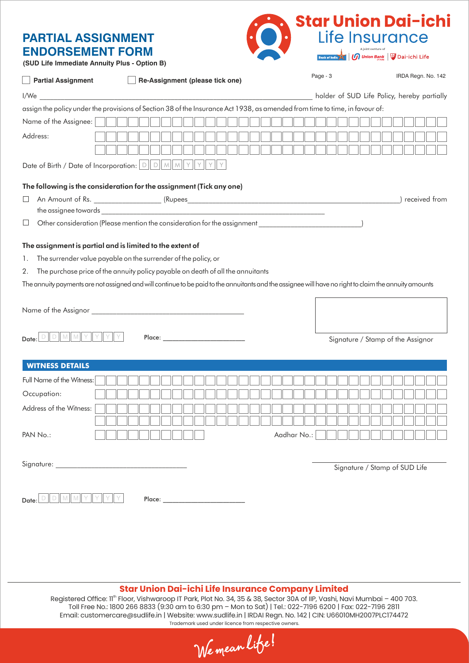## **PARTIAL ASSIGNMENT ENDORSEMENT FORM**



**(SUD Life Immediate Annuity Plus - Option B)**

| <b>Partial Assignment</b><br>Re-Assignment (please tick one)                                                                                          | Page - 3                                    | IRDA Regn. No. 142 |
|-------------------------------------------------------------------------------------------------------------------------------------------------------|---------------------------------------------|--------------------|
|                                                                                                                                                       | holder of SUD Life Policy, hereby partially |                    |
| assign the policy under the provisions of Section 38 of the Insurance Act 1938, as amended from time to time, in favour of:                           |                                             |                    |
| Name of the Assignee:                                                                                                                                 |                                             |                    |
| Address:                                                                                                                                              |                                             |                    |
|                                                                                                                                                       |                                             |                    |
|                                                                                                                                                       |                                             |                    |
|                                                                                                                                                       |                                             |                    |
| The following is the consideration for the assignment (Tick any one)                                                                                  |                                             |                    |
| ⊔                                                                                                                                                     |                                             | received from      |
| Other consideration (Please mention the consideration for the assignment 1000)<br>⊔                                                                   |                                             |                    |
|                                                                                                                                                       |                                             |                    |
| The assignment is partial and is limited to the extent of                                                                                             |                                             |                    |
| The surrender value payable on the surrender of the policy, or<br>1.                                                                                  |                                             |                    |
| The purchase price of the annuity policy payable on death of all the annuitants<br>2.                                                                 |                                             |                    |
| The annuity payments are not assigned and will continue to be paid to the annuitants and the assignee will have no right to claim the annuity amounts |                                             |                    |
| $D    D    M    M    Y    Y$<br>Date:                                                                                                                 | Signature / Stamp of the Assignor           |                    |
| <b>WITNESS DETAILS</b>                                                                                                                                |                                             |                    |
| Full Name of the Witness:                                                                                                                             |                                             |                    |
| Occupation:                                                                                                                                           |                                             |                    |
| Address of the Witness:                                                                                                                               |                                             |                    |
|                                                                                                                                                       |                                             |                    |
| PAN No.:<br>Aadhar No.:                                                                                                                               |                                             |                    |
|                                                                                                                                                       |                                             |                    |
|                                                                                                                                                       | Signature / Stamp of SUD Life               |                    |
|                                                                                                                                                       |                                             |                    |
| Date:                                                                                                                                                 |                                             |                    |

## **Star Union Dai-ichi Life Insurance Company Limited**

Registered Office: 11<sup>th</sup> Floor, Vishwaroop IT Park, Plot No. 34, 35 & 38, Sector 30A of IIP, Vashi, Navi Mumbai - 400 703. Toll Free No.: 1800 266 8833 (9:30 am to 6:30 pm – Mon to Sat) | Tel.: 022-7196 6200 | Fax: 022-7196 2811 Email: customercare@sudlife.in | Website: www.sudlife.in | IRDAI Regn. No. 142 | CIN: U66010MH2007PLC174472 Trademark used under licence from respective owners.

We mean life!